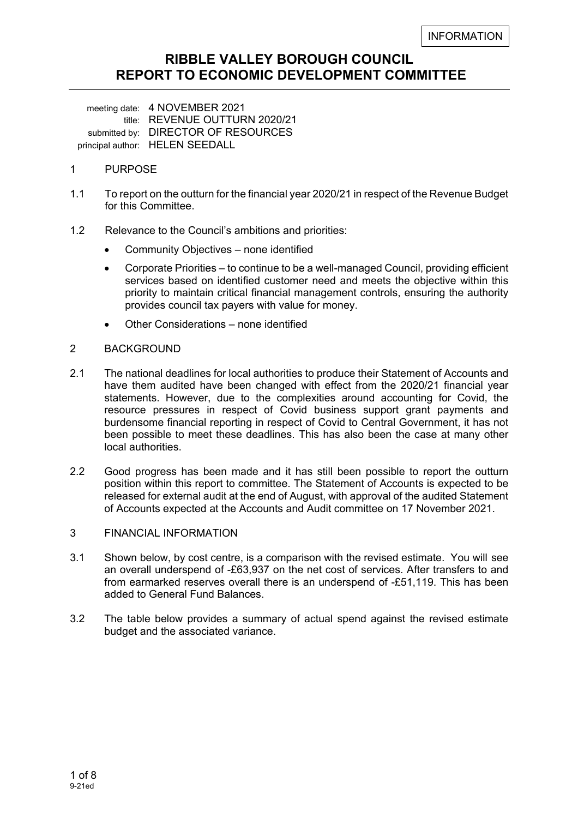# **RIBBLE VALLEY BOROUGH COUNCIL REPORT TO ECONOMIC DEVELOPMENT COMMITTEE**

 meeting date: 4 NOVEMBER 2021 title: REVENUE OUTTURN 2020/21 submitted by: DIRECTOR OF RESOURCES principal author: HELEN SEEDALL

### 1 PURPOSE

- 1.1 To report on the outturn for the financial year 2020/21 in respect of the Revenue Budget for this Committee.
- 1.2 Relevance to the Council's ambitions and priorities:
	- Community Objectives none identified
	- Corporate Priorities to continue to be a well-managed Council, providing efficient services based on identified customer need and meets the objective within this priority to maintain critical financial management controls, ensuring the authority provides council tax payers with value for money.
	- Other Considerations none identified

### 2 BACKGROUND

- 2.1 The national deadlines for local authorities to produce their Statement of Accounts and have them audited have been changed with effect from the 2020/21 financial year statements. However, due to the complexities around accounting for Covid, the resource pressures in respect of Covid business support grant payments and burdensome financial reporting in respect of Covid to Central Government, it has not been possible to meet these deadlines. This has also been the case at many other local authorities.
- 2.2 Good progress has been made and it has still been possible to report the outturn position within this report to committee. The Statement of Accounts is expected to be released for external audit at the end of August, with approval of the audited Statement of Accounts expected at the Accounts and Audit committee on 17 November 2021.

#### 3 FINANCIAL INFORMATION

- 3.1 Shown below, by cost centre, is a comparison with the revised estimate. You will see an overall underspend of -£63,937 on the net cost of services. After transfers to and from earmarked reserves overall there is an underspend of -£51,119. This has been added to General Fund Balances.
- 3.2 The table below provides a summary of actual spend against the revised estimate budget and the associated variance.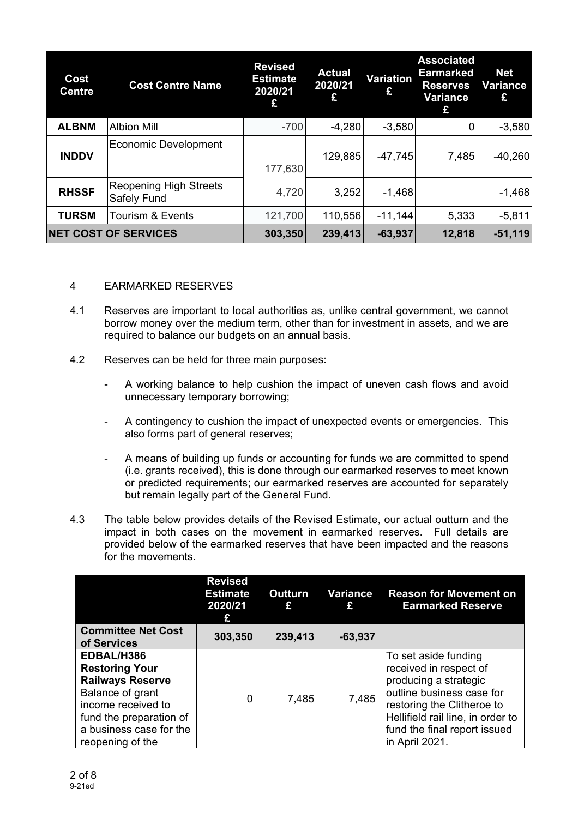| Cost<br><b>Centre</b>       | <b>Cost Centre Name</b>                      | <b>Revised</b><br><b>Estimate</b><br>2020/21 | <b>Actual</b><br>2020/21<br>£ | Variation<br>£ | <b>Associated</b><br><b>Earmarked</b><br><b>Reserves</b><br>Variance<br>£ | <b>Net</b><br><b>Variance</b><br>£ |
|-----------------------------|----------------------------------------------|----------------------------------------------|-------------------------------|----------------|---------------------------------------------------------------------------|------------------------------------|
| <b>ALBNM</b>                | <b>Albion Mill</b>                           | $-700$                                       | $-4,280$                      | $-3,580$       | 0                                                                         | $-3,580$                           |
| <b>INDDV</b>                | <b>Economic Development</b>                  | 177,630                                      | 129,885                       | $-47,745$      | 7,485                                                                     | $-40,260$                          |
| <b>RHSSF</b>                | <b>Reopening High Streets</b><br>Safely Fund | 4,720                                        | 3,252                         | $-1,468$       |                                                                           | $-1,468$                           |
| <b>TURSM</b>                | <b>Tourism &amp; Events</b>                  | 121,700                                      | 110,556                       | $-11,144$      | 5,333                                                                     | $-5,811$                           |
| <b>NET COST OF SERVICES</b> |                                              | 303,350                                      | 239,413                       | $-63,937$      | 12,818                                                                    | $-51,119$                          |

### 4 EARMARKED RESERVES

- 4.1 Reserves are important to local authorities as, unlike central government, we cannot borrow money over the medium term, other than for investment in assets, and we are required to balance our budgets on an annual basis.
- 4.2 Reserves can be held for three main purposes:
	- A working balance to help cushion the impact of uneven cash flows and avoid unnecessary temporary borrowing;
	- A contingency to cushion the impact of unexpected events or emergencies. This also forms part of general reserves;
	- A means of building up funds or accounting for funds we are committed to spend (i.e. grants received), this is done through our earmarked reserves to meet known or predicted requirements; our earmarked reserves are accounted for separately but remain legally part of the General Fund.
- 4.3 The table below provides details of the Revised Estimate, our actual outturn and the impact in both cases on the movement in earmarked reserves. Full details are provided below of the earmarked reserves that have been impacted and the reasons for the movements.

|                                                                                                                                                                                    | <b>Revised</b><br><b>Estimate</b><br>2020/21<br>£ | Outturn<br>£ | Variance<br>£ | <b>Reason for Movement on</b><br><b>Earmarked Reserve</b>                                                                                                                                                                 |
|------------------------------------------------------------------------------------------------------------------------------------------------------------------------------------|---------------------------------------------------|--------------|---------------|---------------------------------------------------------------------------------------------------------------------------------------------------------------------------------------------------------------------------|
| <b>Committee Net Cost</b><br>of Services                                                                                                                                           | 303,350                                           | 239,413      | $-63,937$     |                                                                                                                                                                                                                           |
| EDBAL/H386<br><b>Restoring Your</b><br><b>Railways Reserve</b><br>Balance of grant<br>income received to<br>fund the preparation of<br>a business case for the<br>reopening of the | 0                                                 | 7,485        | 7,485         | To set aside funding<br>received in respect of<br>producing a strategic<br>outline business case for<br>restoring the Clitheroe to<br>Hellifield rail line, in order to<br>fund the final report issued<br>in April 2021. |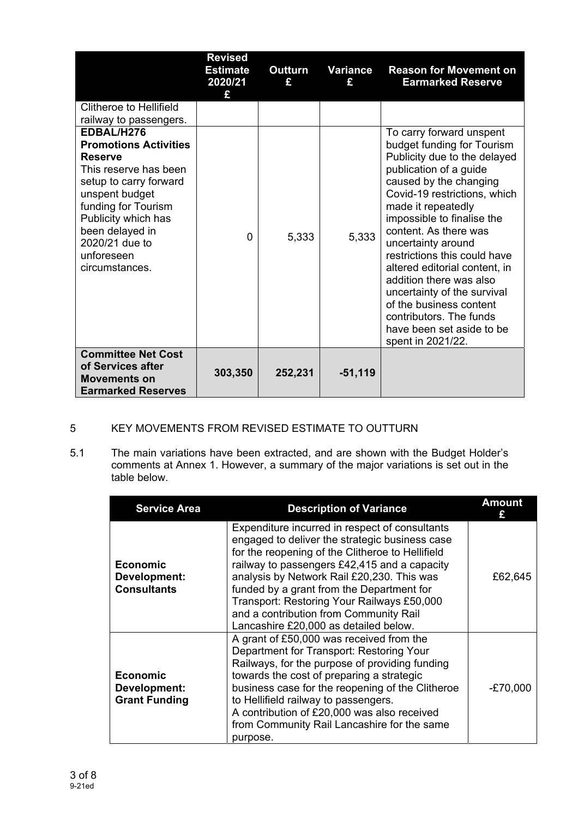|                                                                                                                                                                                                                                                      | <b>Revised</b><br><b>Estimate</b><br>2020/21<br>£ | <b>Outturn</b><br>£ | Variance<br>£ | <b>Reason for Movement on</b><br><b>Earmarked Reserve</b>                                                                                                                                                                                                                                                                                                                                                                                                                                                        |
|------------------------------------------------------------------------------------------------------------------------------------------------------------------------------------------------------------------------------------------------------|---------------------------------------------------|---------------------|---------------|------------------------------------------------------------------------------------------------------------------------------------------------------------------------------------------------------------------------------------------------------------------------------------------------------------------------------------------------------------------------------------------------------------------------------------------------------------------------------------------------------------------|
| Clitheroe to Hellifield<br>railway to passengers.                                                                                                                                                                                                    |                                                   |                     |               |                                                                                                                                                                                                                                                                                                                                                                                                                                                                                                                  |
| EDBAL/H276<br><b>Promotions Activities</b><br><b>Reserve</b><br>This reserve has been<br>setup to carry forward<br>unspent budget<br>funding for Tourism<br>Publicity which has<br>been delayed in<br>2020/21 due to<br>unforeseen<br>circumstances. | $\Omega$                                          | 5,333               | 5,333         | To carry forward unspent<br>budget funding for Tourism<br>Publicity due to the delayed<br>publication of a guide<br>caused by the changing<br>Covid-19 restrictions, which<br>made it repeatedly<br>impossible to finalise the<br>content. As there was<br>uncertainty around<br>restrictions this could have<br>altered editorial content, in<br>addition there was also<br>uncertainty of the survival<br>of the business content<br>contributors. The funds<br>have been set aside to be<br>spent in 2021/22. |
| <b>Committee Net Cost</b><br>of Services after<br><b>Movements on</b><br><b>Earmarked Reserves</b>                                                                                                                                                   | 303,350                                           | 252,231             | $-51,119$     |                                                                                                                                                                                                                                                                                                                                                                                                                                                                                                                  |

## 5 KEY MOVEMENTS FROM REVISED ESTIMATE TO OUTTURN

5.1 The main variations have been extracted, and are shown with the Budget Holder's comments at Annex 1. However, a summary of the major variations is set out in the table below.

| <b>Service Area</b>                                            | <b>Description of Variance</b>                                                                                                                                                                                                                                                                                                                                                                                                   | <b>Amount</b> |
|----------------------------------------------------------------|----------------------------------------------------------------------------------------------------------------------------------------------------------------------------------------------------------------------------------------------------------------------------------------------------------------------------------------------------------------------------------------------------------------------------------|---------------|
| <b>Economic</b><br>Development:<br><b>Consultants</b>          | Expenditure incurred in respect of consultants<br>engaged to deliver the strategic business case<br>for the reopening of the Clitheroe to Hellifield<br>railway to passengers £42,415 and a capacity<br>analysis by Network Rail £20,230. This was<br>funded by a grant from the Department for<br>Transport: Restoring Your Railways £50,000<br>and a contribution from Community Rail<br>Lancashire £20,000 as detailed below. | £62,645       |
| <b>Economic</b><br><b>Development:</b><br><b>Grant Funding</b> | A grant of £50,000 was received from the<br>Department for Transport: Restoring Your<br>Railways, for the purpose of providing funding<br>towards the cost of preparing a strategic<br>business case for the reopening of the Clitheroe<br>to Hellifield railway to passengers.<br>A contribution of £20,000 was also received<br>from Community Rail Lancashire for the same<br>purpose.                                        | $-E70,000$    |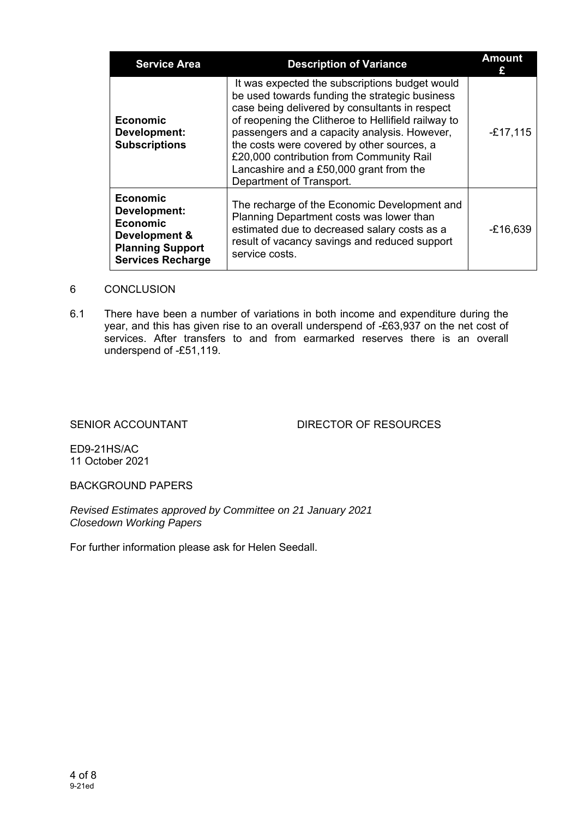| <b>Service Area</b>                                                                                                        | <b>Description of Variance</b>                                                                                                                                                                                                                                                                                                                                                                                             | <b>Amount</b> |
|----------------------------------------------------------------------------------------------------------------------------|----------------------------------------------------------------------------------------------------------------------------------------------------------------------------------------------------------------------------------------------------------------------------------------------------------------------------------------------------------------------------------------------------------------------------|---------------|
| <b>Economic</b><br>Development:<br><b>Subscriptions</b>                                                                    | It was expected the subscriptions budget would<br>be used towards funding the strategic business<br>case being delivered by consultants in respect<br>of reopening the Clitheroe to Hellifield railway to<br>passengers and a capacity analysis. However,<br>the costs were covered by other sources, a<br>£20,000 contribution from Community Rail<br>Lancashire and a £50,000 grant from the<br>Department of Transport. | $-£17,115$    |
| <b>Economic</b><br>Development:<br><b>Economic</b><br>Development &<br><b>Planning Support</b><br><b>Services Recharge</b> | The recharge of the Economic Development and<br>Planning Department costs was lower than<br>estimated due to decreased salary costs as a<br>result of vacancy savings and reduced support<br>service costs.                                                                                                                                                                                                                | $-£16,639$    |

#### 6 CONCLUSION

6.1 There have been a number of variations in both income and expenditure during the year, and this has given rise to an overall underspend of -£63,937 on the net cost of services. After transfers to and from earmarked reserves there is an overall underspend of -£51,119.

SENIOR ACCOUNTANT DIRECTOR OF RESOURCES

ED9-21HS/AC 11 October 2021

BACKGROUND PAPERS

*Revised Estimates approved by Committee on 21 January 2021 Closedown Working Papers* 

For further information please ask for Helen Seedall.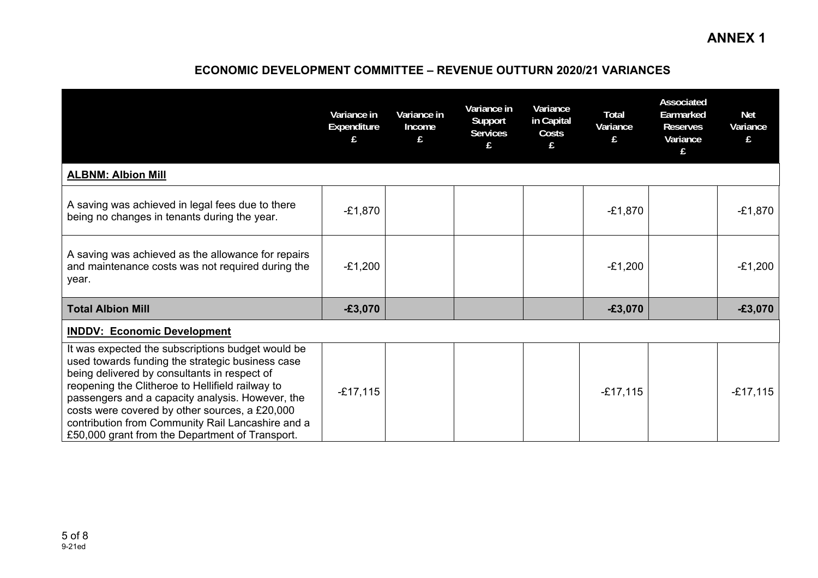# **ECONOMIC DEVELOPMENT COMMITTEE – REVENUE OUTTURN 2020/21 VARIANCES**

|                                                                                                                                                                                                                                                                                                                                                                                                                         | Variance in<br>Expenditure | Variance in<br>Income<br>£ | Variance in<br>Support<br><b>Services</b><br>£ | Variance<br>in Capital<br>Costs<br>£ | Total<br>Variance<br>£ | <b>Associated</b><br>Earmarked<br><b>Reserves</b><br>Variance<br>£ | <b>Net</b><br>Variance<br>£ |
|-------------------------------------------------------------------------------------------------------------------------------------------------------------------------------------------------------------------------------------------------------------------------------------------------------------------------------------------------------------------------------------------------------------------------|----------------------------|----------------------------|------------------------------------------------|--------------------------------------|------------------------|--------------------------------------------------------------------|-----------------------------|
| <b>ALBNM: Albion Mill</b>                                                                                                                                                                                                                                                                                                                                                                                               |                            |                            |                                                |                                      |                        |                                                                    |                             |
| A saving was achieved in legal fees due to there<br>being no changes in tenants during the year.                                                                                                                                                                                                                                                                                                                        | $-E1,870$                  |                            |                                                |                                      | $-£1,870$              |                                                                    | $-E1,870$                   |
| A saving was achieved as the allowance for repairs<br>and maintenance costs was not required during the<br>year.                                                                                                                                                                                                                                                                                                        | $-E1,200$                  |                            |                                                |                                      | $-£1,200$              |                                                                    | $-E1,200$                   |
| <b>Total Albion Mill</b>                                                                                                                                                                                                                                                                                                                                                                                                | $-£3,070$                  |                            |                                                |                                      | $-£3,070$              |                                                                    | $-£3,070$                   |
| <b>INDDV: Economic Development</b>                                                                                                                                                                                                                                                                                                                                                                                      |                            |                            |                                                |                                      |                        |                                                                    |                             |
| It was expected the subscriptions budget would be<br>used towards funding the strategic business case<br>being delivered by consultants in respect of<br>reopening the Clitheroe to Hellifield railway to<br>passengers and a capacity analysis. However, the<br>costs were covered by other sources, a £20,000<br>contribution from Community Rail Lancashire and a<br>£50,000 grant from the Department of Transport. | $-£17,115$                 |                            |                                                |                                      | $-£17,115$             |                                                                    | $-E17,115$                  |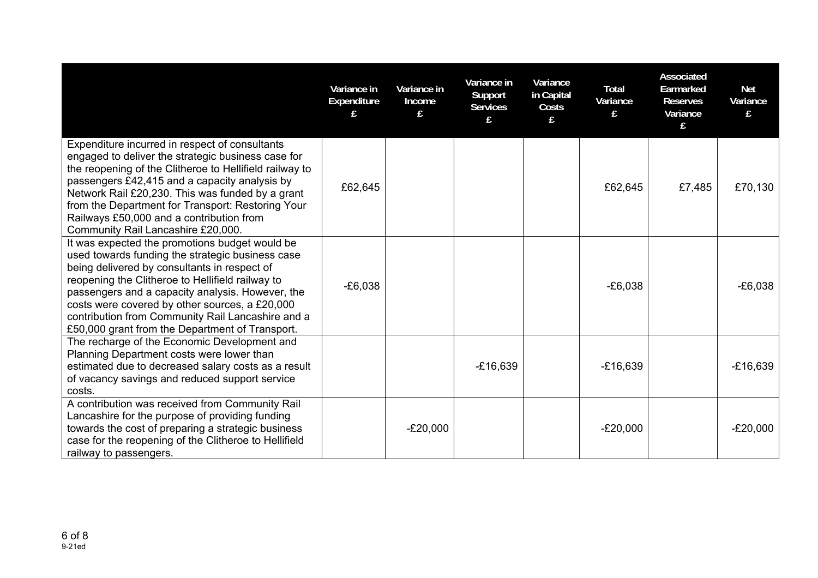|                                                                                                                                                                                                                                                                                                                                                                                                                      | Variance in<br>Expenditure | Variance in<br>Income | Variance in<br>Support<br><b>Services</b> | Variance<br>in Capital<br>Costs | <b>Total</b><br>Variance | Associated<br>Earmarked<br><b>Reserves</b><br>Variance<br>£. | <b>Net</b><br>Variance |
|----------------------------------------------------------------------------------------------------------------------------------------------------------------------------------------------------------------------------------------------------------------------------------------------------------------------------------------------------------------------------------------------------------------------|----------------------------|-----------------------|-------------------------------------------|---------------------------------|--------------------------|--------------------------------------------------------------|------------------------|
| Expenditure incurred in respect of consultants<br>engaged to deliver the strategic business case for<br>the reopening of the Clitheroe to Hellifield railway to<br>passengers £42,415 and a capacity analysis by<br>Network Rail £20,230. This was funded by a grant<br>from the Department for Transport: Restoring Your<br>Railways £50,000 and a contribution from<br>Community Rail Lancashire £20,000.          | £62,645                    |                       |                                           |                                 | £62,645                  | £7,485                                                       | £70,130                |
| It was expected the promotions budget would be<br>used towards funding the strategic business case<br>being delivered by consultants in respect of<br>reopening the Clitheroe to Hellifield railway to<br>passengers and a capacity analysis. However, the<br>costs were covered by other sources, a £20,000<br>contribution from Community Rail Lancashire and a<br>£50,000 grant from the Department of Transport. | $-E6,038$                  |                       |                                           |                                 | $-E6,038$                |                                                              | $-E6,038$              |
| The recharge of the Economic Development and<br>Planning Department costs were lower than<br>estimated due to decreased salary costs as a result<br>of vacancy savings and reduced support service<br>costs.                                                                                                                                                                                                         |                            |                       | $-£16,639$                                |                                 | $-£16,639$               |                                                              | $-£16,639$             |
| A contribution was received from Community Rail<br>Lancashire for the purpose of providing funding<br>towards the cost of preparing a strategic business<br>case for the reopening of the Clitheroe to Hellifield<br>railway to passengers.                                                                                                                                                                          |                            | $-E20,000$            |                                           |                                 | $-E20,000$               |                                                              | $-E20,000$             |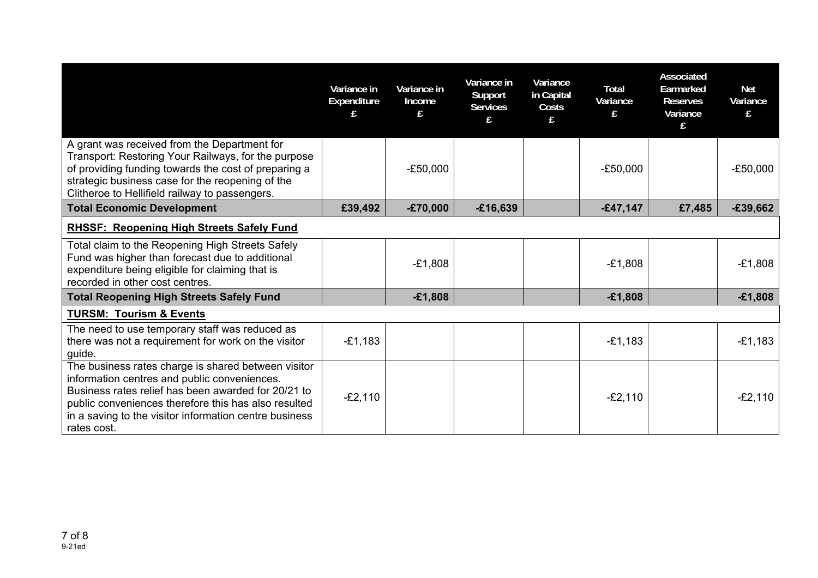|                                                                                                                                                                                                                                                                                             | Variance in<br>Expenditure<br>£ | Variance in<br>Income<br>£ | Variance in<br>Support<br><b>Services</b> | Variance<br>in Capital<br>Costs | <b>Total</b><br>Variance | Associated<br>Earmarked<br><b>Reserves</b><br>Variance<br>f | <b>Net</b><br>Variance<br>£ |
|---------------------------------------------------------------------------------------------------------------------------------------------------------------------------------------------------------------------------------------------------------------------------------------------|---------------------------------|----------------------------|-------------------------------------------|---------------------------------|--------------------------|-------------------------------------------------------------|-----------------------------|
| A grant was received from the Department for<br>Transport: Restoring Your Railways, for the purpose<br>of providing funding towards the cost of preparing a<br>strategic business case for the reopening of the<br>Clitheroe to Hellifield railway to passengers.                           |                                 | $-E50,000$                 |                                           |                                 | $-E50,000$               |                                                             | $-E50,000$                  |
| <b>Total Economic Development</b>                                                                                                                                                                                                                                                           | £39,492                         | $-£70,000$                 | $-£16,639$                                |                                 | $-£47,147$               | £7,485                                                      | $-£39,662$                  |
| <b>RHSSF: Reopening High Streets Safely Fund</b>                                                                                                                                                                                                                                            |                                 |                            |                                           |                                 |                          |                                                             |                             |
| Total claim to the Reopening High Streets Safely<br>Fund was higher than forecast due to additional<br>expenditure being eligible for claiming that is<br>recorded in other cost centres.                                                                                                   |                                 | $-E1,808$                  |                                           |                                 | $-E1,808$                |                                                             | $-E1,808$                   |
| <b>Total Reopening High Streets Safely Fund</b>                                                                                                                                                                                                                                             |                                 | $-£1,808$                  |                                           |                                 | $-£1,808$                |                                                             | $-£1,808$                   |
| <b>TURSM: Tourism &amp; Events</b>                                                                                                                                                                                                                                                          |                                 |                            |                                           |                                 |                          |                                                             |                             |
| The need to use temporary staff was reduced as<br>there was not a requirement for work on the visitor<br>guide.                                                                                                                                                                             | $-E1,183$                       |                            |                                           |                                 | $-E1,183$                |                                                             | $-E1,183$                   |
| The business rates charge is shared between visitor<br>information centres and public conveniences.<br>Business rates relief has been awarded for 20/21 to<br>public conveniences therefore this has also resulted<br>in a saving to the visitor information centre business<br>rates cost. | $-E2,110$                       |                            |                                           |                                 | $-E2,110$                |                                                             | $-E2,110$                   |